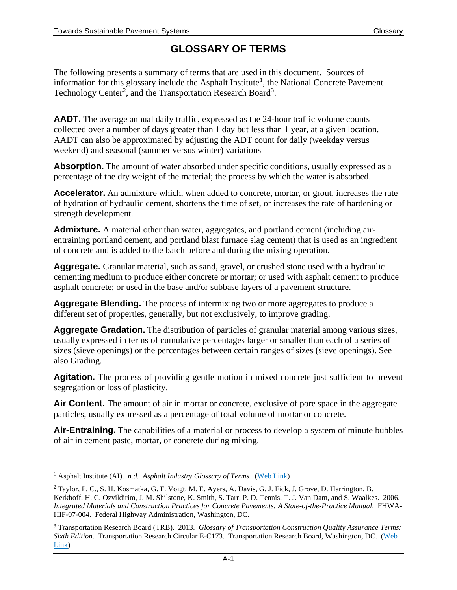## **GLOSSARY OF TERMS**

The following presents a summary of terms that are used in this document. Sources of information for this glossary include the Asphalt Institute<sup>[1](#page-0-0)</sup>, the National Concrete Pavement Technology Center<sup>[2](#page-0-1)</sup>, and the Transportation Research Board<sup>[3](#page-0-2)</sup>.

**AADT.** The average annual daily traffic, expressed as the 24-hour traffic volume counts collected over a number of days greater than 1 day but less than 1 year, at a given location. AADT can also be approximated by adjusting the ADT count for daily (weekday versus weekend) and seasonal (summer versus winter) variations

**Absorption.** The amount of water absorbed under specific conditions, usually expressed as a percentage of the dry weight of the material; the process by which the water is absorbed.

**Accelerator.** An admixture which, when added to concrete, mortar, or grout, increases the rate of hydration of hydraulic cement, shortens the time of set, or increases the rate of hardening or strength development.

**Admixture.** A material other than water, aggregates, and portland cement (including airentraining portland cement, and portland blast furnace slag cement) that is used as an ingredient of concrete and is added to the batch before and during the mixing operation.

**Aggregate.** Granular material, such as sand, gravel, or crushed stone used with a hydraulic cementing medium to produce either concrete or mortar; or used with asphalt cement to produce asphalt concrete; or used in the base and/or subbase layers of a pavement structure.

**Aggregate Blending.** The process of intermixing two or more aggregates to produce a different set of properties, generally, but not exclusively, to improve grading.

**Aggregate Gradation.** The distribution of particles of granular material among various sizes, usually expressed in terms of cumulative percentages larger or smaller than each of a series of sizes (sieve openings) or the percentages between certain ranges of sizes (sieve openings). See also Grading.

Agitation. The process of providing gentle motion in mixed concrete just sufficient to prevent segregation or loss of plasticity.

Air Content. The amount of air in mortar or concrete, exclusive of pore space in the aggregate particles, usually expressed as a percentage of total volume of mortar or concrete.

**Air-Entraining.** The capabilities of a material or process to develop a system of minute bubbles of air in cement paste, mortar, or concrete during mixing.

 $\overline{a}$ 

<span id="page-0-0"></span><sup>&</sup>lt;sup>1</sup> Asphalt Institute (AI). *n.d. Asphalt Industry Glossary of Terms.* [\(Web Link](http://wwwcf.fhwa.dot.gov/exit.cfm?link=http://www.asphaltinstitute.org/wp-content/uploads/Asphalt_Industry_Glossary_of_Terms.pdf))

<span id="page-0-1"></span><sup>2</sup> Taylor, P. C., S. H. Kosmatka, G. F. Voigt, M. E. Ayers, A. Davis, G. J. Fick, J. Grove, D. Harrington, B. Kerkhoff, H. C. Ozyildirim, J. M. Shilstone, K. Smith, S. Tarr, P. D. Tennis, T. J. Van Dam, and S. Waalkes. 2006. *Integrated Materials and Construction Practices for Concrete Pavements: A State-of-the-Practice Manual*. FHWA-HIF-07-004. Federal Highway Administration, Washington, DC.

<span id="page-0-2"></span><sup>3</sup> Transportation Research Board (TRB). 2013. *Glossary of Transportation Construction Quality Assurance Terms: Sixth Edition*. Transportation Research Circular E-C173. Transportation Research Board, Washington, DC. [\(Web](http://wwwcf.fhwa.dot.gov/exit.cfm?link=http://onlinepubs.trb.org/onlinepubs/circulars/ec173.pdf)  [Link](http://wwwcf.fhwa.dot.gov/exit.cfm?link=http://onlinepubs.trb.org/onlinepubs/circulars/ec173.pdf) )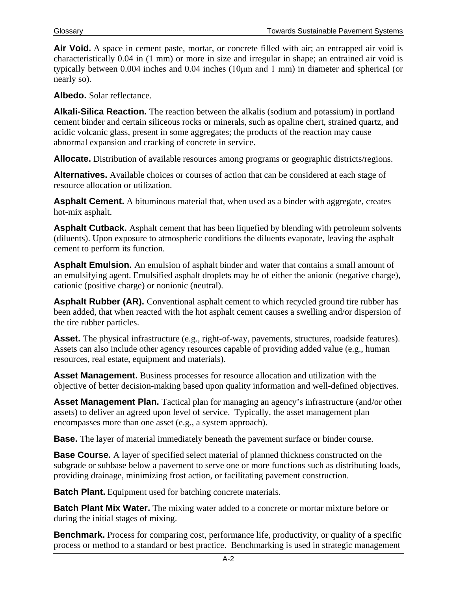Air Void. A space in cement paste, mortar, or concrete filled with air; an entrapped air void is characteristically 0.04 in (1 mm) or more in size and irregular in shape; an entrained air void is typically between 0.004 inches and 0.04 inches (10μm and 1 mm) in diameter and spherical (or nearly so).

**Albedo.** Solar reflectance.

**Alkali-Silica Reaction.** The reaction between the alkalis (sodium and potassium) in portland cement binder and certain siliceous rocks or minerals, such as opaline chert, strained quartz, and acidic volcanic glass, present in some aggregates; the products of the reaction may cause abnormal expansion and cracking of concrete in service.

**Allocate.** Distribution of available resources among programs or geographic districts/regions.

**Alternatives.** Available choices or courses of action that can be considered at each stage of resource allocation or utilization.

**Asphalt Cement.** A bituminous material that, when used as a binder with aggregate, creates hot-mix asphalt.

**Asphalt Cutback.** Asphalt cement that has been liquefied by blending with petroleum solvents (diluents). Upon exposure to atmospheric conditions the diluents evaporate, leaving the asphalt cement to perform its function.

**Asphalt Emulsion.** An emulsion of asphalt binder and water that contains a small amount of an emulsifying agent. Emulsified asphalt droplets may be of either the anionic (negative charge), cationic (positive charge) or nonionic (neutral).

**Asphalt Rubber (AR).** Conventional asphalt cement to which recycled ground tire rubber has been added, that when reacted with the hot asphalt cement causes a swelling and/or dispersion of the tire rubber particles.

Asset. The physical infrastructure (e.g., right-of-way, pavements, structures, roadside features). Assets can also include other agency resources capable of providing added value (e.g., human resources, real estate, equipment and materials).

**Asset Management.** Business processes for resource allocation and utilization with the objective of better decision-making based upon quality information and well-defined objectives.

**Asset Management Plan.** Tactical plan for managing an agency's infrastructure (and/or other assets) to deliver an agreed upon level of service. Typically, the asset management plan encompasses more than one asset (e.g., a system approach).

**Base.** The layer of material immediately beneath the pavement surface or binder course.

**Base Course.** A layer of specified select material of planned thickness constructed on the subgrade or subbase below a pavement to serve one or more functions such as distributing loads, providing drainage, minimizing frost action, or facilitating pavement construction.

**Batch Plant.** Equipment used for batching concrete materials.

**Batch Plant Mix Water.** The mixing water added to a concrete or mortar mixture before or during the initial stages of mixing.

**Benchmark.** Process for comparing cost, performance life, productivity, or quality of a specific process or method to a standard or best practice. Benchmarking is used in [strategic management](http://en.wikipedia.org/wiki/Strategic_management)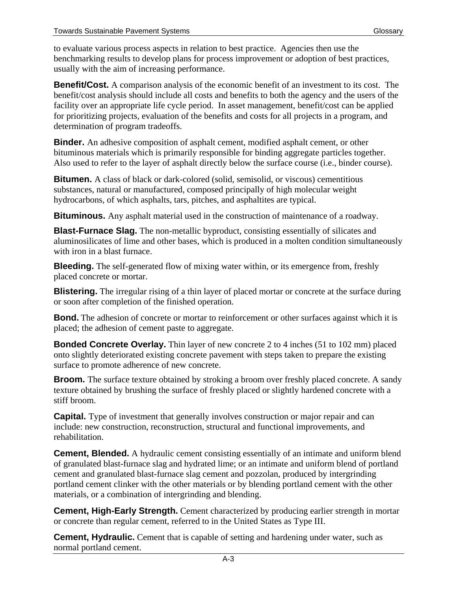to evaluate various process aspects in relation to [best practice.](http://en.wikipedia.org/wiki/Best_practice) Agencies then use the benchmarking results to develop plans for process improvement or adoption of best practices, usually with the aim of increasing performance.

**Benefit/Cost.** A comparison analysis of the economic benefit of an investment to its cost. The benefit/cost analysis should include all costs and benefits to both the agency and the users of the facility over an appropriate life cycle period. In asset management, benefit/cost can be applied for prioritizing projects, evaluation of the benefits and costs for all projects in a program, and determination of program tradeoffs.

**Binder.** An adhesive composition of asphalt cement, modified asphalt cement, or other bituminous materials which is primarily responsible for binding aggregate particles together. Also used to refer to the layer of asphalt directly below the surface course (i.e., binder course).

**Bitumen.** A class of black or dark-colored (solid, semisolid, or viscous) cementitious substances, natural or manufactured, composed principally of high molecular weight hydrocarbons, of which asphalts, tars, pitches, and asphaltites are typical.

**Bituminous.** Any asphalt material used in the construction of maintenance of a roadway.

**Blast-Furnace Slag.** The non-metallic byproduct, consisting essentially of silicates and aluminosilicates of lime and other bases, which is produced in a molten condition simultaneously with iron in a blast furnace.

**Bleeding.** The self-generated flow of mixing water within, or its emergence from, freshly placed concrete or mortar.

**Blistering.** The irregular rising of a thin layer of placed mortar or concrete at the surface during or soon after completion of the finished operation.

**Bond.** The adhesion of concrete or mortar to reinforcement or other surfaces against which it is placed; the adhesion of cement paste to aggregate.

**Bonded Concrete Overlay.** Thin layer of new concrete 2 to 4 inches (51 to 102 mm) placed onto slightly deteriorated existing concrete pavement with steps taken to prepare the existing surface to promote adherence of new concrete.

**Broom.** The surface texture obtained by stroking a broom over freshly placed concrete. A sandy texture obtained by brushing the surface of freshly placed or slightly hardened concrete with a stiff broom.

**Capital.** Type of investment that generally involves construction or major repair and can include: new construction, reconstruction, structural and functional improvements, and rehabilitation.

**Cement, Blended.** A hydraulic cement consisting essentially of an intimate and uniform blend of granulated blast-furnace slag and hydrated lime; or an intimate and uniform blend of portland cement and granulated blast-furnace slag cement and pozzolan, produced by intergrinding portland cement clinker with the other materials or by blending portland cement with the other materials, or a combination of intergrinding and blending.

**Cement, High-Early Strength.** Cement characterized by producing earlier strength in mortar or concrete than regular cement, referred to in the United States as Type III.

**Cement, Hydraulic.** Cement that is capable of setting and hardening under water, such as normal portland cement.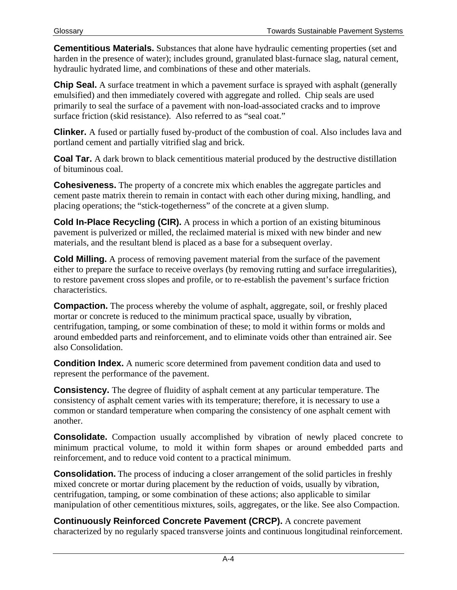**Cementitious Materials.** Substances that alone have hydraulic cementing properties (set and harden in the presence of water); includes ground, granulated blast-furnace slag, natural cement, hydraulic hydrated lime, and combinations of these and other materials.

**Chip Seal.** A surface treatment in which a pavement surface is sprayed with asphalt (generally emulsified) and then immediately covered with aggregate and rolled. Chip seals are used primarily to seal the surface of a pavement with non-load-associated cracks and to improve surface friction (skid resistance). Also referred to as "seal coat."

**Clinker.** A fused or partially fused by-product of the combustion of coal. Also includes lava and portland cement and partially vitrified slag and brick.

**Coal Tar.** A dark brown to black cementitious material produced by the destructive distillation of bituminous coal.

**Cohesiveness.** The property of a concrete mix which enables the aggregate particles and cement paste matrix therein to remain in contact with each other during mixing, handling, and placing operations; the "stick-togetherness" of the concrete at a given slump.

**Cold In-Place Recycling (CIR).** A process in which a portion of an existing bituminous pavement is pulverized or milled, the reclaimed material is mixed with new binder and new materials, and the resultant blend is placed as a base for a subsequent overlay.

**Cold Milling.** A process of removing pavement material from the surface of the pavement either to prepare the surface to receive overlays (by removing rutting and surface irregularities), to restore pavement cross slopes and profile, or to re-establish the pavement's surface friction characteristics.

**Compaction.** The process whereby the volume of asphalt, aggregate, soil, or freshly placed mortar or concrete is reduced to the minimum practical space, usually by vibration, centrifugation, tamping, or some combination of these; to mold it within forms or molds and around embedded parts and reinforcement, and to eliminate voids other than entrained air. See also Consolidation.

**Condition Index.** A numeric score determined from pavement condition data and used to represent the performance of the pavement.

**Consistency.** The degree of fluidity of asphalt cement at any particular temperature. The consistency of asphalt cement varies with its temperature; therefore, it is necessary to use a common or standard temperature when comparing the consistency of one asphalt cement with another.

**Consolidate.** Compaction usually accomplished by vibration of newly placed concrete to minimum practical volume, to mold it within form shapes or around embedded parts and reinforcement, and to reduce void content to a practical minimum.

**Consolidation.** The process of inducing a closer arrangement of the solid particles in freshly mixed concrete or mortar during placement by the reduction of voids, usually by vibration, centrifugation, tamping, or some combination of these actions; also applicable to similar manipulation of other cementitious mixtures, soils, aggregates, or the like. See also Compaction.

**Continuously Reinforced Concrete Pavement (CRCP).** A concrete pavement characterized by no regularly spaced transverse joints and continuous longitudinal reinforcement.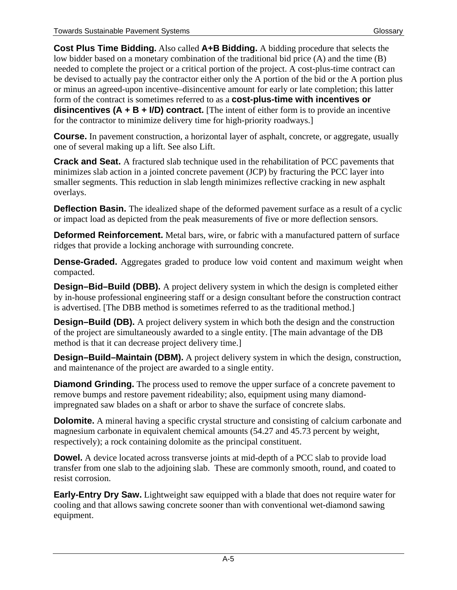**Cost Plus Time Bidding.** Also called **A+B Bidding.** A bidding procedure that selects the low bidder based on a monetary combination of the traditional bid price (A) and the time (B) needed to complete the project or a critical portion of the project. A cost-plus-time contract can be devised to actually pay the contractor either only the A portion of the bid or the A portion plus or minus an agreed-upon incentive–disincentive amount for early or late completion; this latter form of the contract is sometimes referred to as a **cost-plus-time with incentives or disincentives (A + B + I/D) contract.** [The intent of either form is to provide an incentive for the contractor to minimize delivery time for high-priority roadways.]

**Course.** In pavement construction, a horizontal layer of asphalt, concrete, or aggregate, usually one of several making up a lift. See also Lift.

**Crack and Seat.** A fractured slab technique used in the rehabilitation of PCC pavements that minimizes slab action in a jointed concrete pavement (JCP) by fracturing the PCC layer into smaller segments. This reduction in slab length minimizes reflective cracking in new asphalt overlays.

**Deflection Basin.** The idealized shape of the deformed pavement surface as a result of a cyclic or impact load as depicted from the peak measurements of five or more deflection sensors.

**Deformed Reinforcement.** Metal bars, wire, or fabric with a manufactured pattern of surface ridges that provide a locking anchorage with surrounding concrete.

**Dense-Graded.** Aggregates graded to produce low void content and maximum weight when compacted.

**Design–Bid–Build (DBB).** A project delivery system in which the design is completed either by in-house professional engineering staff or a design consultant before the construction contract is advertised. [The DBB method is sometimes referred to as the traditional method.]

**Design–Build (DB).** A project delivery system in which both the design and the construction of the project are simultaneously awarded to a single entity. [The main advantage of the DB method is that it can decrease project delivery time.]

**Design–Build–Maintain (DBM).** A project delivery system in which the design, construction, and maintenance of the project are awarded to a single entity.

**Diamond Grinding.** The process used to remove the upper surface of a concrete pavement to remove bumps and restore pavement rideability; also, equipment using many diamondimpregnated saw blades on a shaft or arbor to shave the surface of concrete slabs.

**Dolomite.** A mineral having a specific crystal structure and consisting of calcium carbonate and magnesium carbonate in equivalent chemical amounts (54.27 and 45.73 percent by weight, respectively); a rock containing dolomite as the principal constituent.

**Dowel.** A device located across transverse joints at mid-depth of a PCC slab to provide load transfer from one slab to the adjoining slab. These are commonly smooth, round, and coated to resist corrosion.

**Early-Entry Dry Saw.** Lightweight saw equipped with a blade that does not require water for cooling and that allows sawing concrete sooner than with conventional wet-diamond sawing equipment.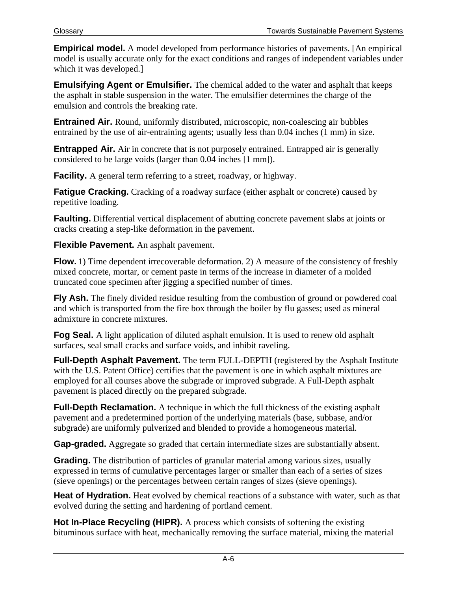**Empirical model.** A model developed from performance histories of pavements. [An empirical model is usually accurate only for the exact conditions and ranges of independent variables under which it was developed.]

**Emulsifying Agent or Emulsifier.** The chemical added to the water and asphalt that keeps the asphalt in stable suspension in the water. The emulsifier determines the charge of the emulsion and controls the breaking rate.

**Entrained Air.** Round, uniformly distributed, microscopic, non-coalescing air bubbles entrained by the use of air-entraining agents; usually less than 0.04 inches (1 mm) in size.

**Entrapped Air.** Air in concrete that is not purposely entrained. Entrapped air is generally considered to be large voids (larger than 0.04 inches [1 mm]).

**Facility.** A general term referring to a street, roadway, or highway.

**Fatigue Cracking.** Cracking of a roadway surface (either asphalt or concrete) caused by repetitive loading.

**Faulting.** Differential vertical displacement of abutting concrete pavement slabs at joints or cracks creating a step-like deformation in the pavement.

**Flexible Pavement.** An asphalt pavement.

**Flow.** 1) Time dependent irrecoverable deformation. 2) A measure of the consistency of freshly mixed concrete, mortar, or cement paste in terms of the increase in diameter of a molded truncated cone specimen after jigging a specified number of times.

**Fly Ash.** The finely divided residue resulting from the combustion of ground or powdered coal and which is transported from the fire box through the boiler by flu gasses; used as mineral admixture in concrete mixtures.

**Fog Seal.** A light application of diluted asphalt emulsion. It is used to renew old asphalt surfaces, seal small cracks and surface voids, and inhibit raveling.

**Full-Depth Asphalt Pavement.** The term FULL-DEPTH (registered by the Asphalt Institute with the U.S. Patent Office) certifies that the pavement is one in which asphalt mixtures are employed for all courses above the subgrade or improved subgrade. A Full-Depth asphalt pavement is placed directly on the prepared subgrade.

**Full-Depth Reclamation.** A technique in which the full thickness of the existing asphalt pavement and a predetermined portion of the underlying materials (base, subbase, and/or subgrade) are uniformly pulverized and blended to provide a homogeneous material.

**Gap-graded.** Aggregate so graded that certain intermediate sizes are substantially absent.

**Grading.** The distribution of particles of granular material among various sizes, usually expressed in terms of cumulative percentages larger or smaller than each of a series of sizes (sieve openings) or the percentages between certain ranges of sizes (sieve openings).

**Heat of Hydration.** Heat evolved by chemical reactions of a substance with water, such as that evolved during the setting and hardening of portland cement.

**Hot In-Place Recycling (HIPR).** A process which consists of softening the existing bituminous surface with heat, mechanically removing the surface material, mixing the material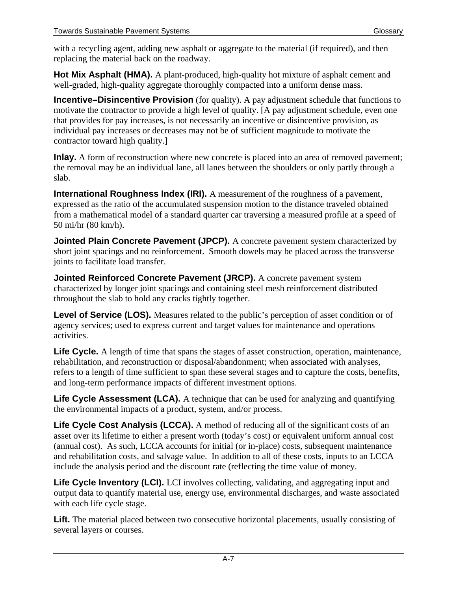with a recycling agent, adding new asphalt or aggregate to the material (if required), and then replacing the material back on the roadway.

**Hot Mix Asphalt (HMA).** A plant-produced, high-quality hot mixture of asphalt cement and well-graded, high-quality aggregate thoroughly compacted into a uniform dense mass.

**Incentive–Disincentive Provision** (for quality). A pay adjustment schedule that functions to motivate the contractor to provide a high level of quality. [A pay adjustment schedule, even one that provides for pay increases, is not necessarily an incentive or disincentive provision, as individual pay increases or decreases may not be of sufficient magnitude to motivate the contractor toward high quality.]

**Inlay.** A form of reconstruction where new concrete is placed into an area of removed pavement; the removal may be an individual lane, all lanes between the shoulders or only partly through a slab.

**International Roughness Index (IRI).** A measurement of the roughness of a pavement, expressed as the ratio of the accumulated suspension motion to the distance traveled obtained from a mathematical model of a standard quarter car traversing a measured profile at a speed of 50 mi/hr (80 km/h).

**Jointed Plain Concrete Pavement (JPCP).** A concrete pavement system characterized by short joint spacings and no reinforcement. Smooth dowels may be placed across the transverse joints to facilitate load transfer.

**Jointed Reinforced Concrete Pavement (JRCP).** A concrete pavement system characterized by longer joint spacings and containing steel mesh reinforcement distributed throughout the slab to hold any cracks tightly together.

Level of Service (LOS). Measures related to the public's perception of asset condition or of agency services; used to express current and target values for maintenance and operations activities.

Life Cycle. A length of time that spans the stages of asset construction, operation, maintenance, rehabilitation, and reconstruction or disposal/abandonment; when associated with analyses, refers to a length of time sufficient to span these several stages and to capture the costs, benefits, and long-term performance impacts of different investment options.

**Life Cycle Assessment (LCA).** A technique that can be used for analyzing and quantifying the environmental impacts of a product, system, and/or process.

Life Cycle Cost Analysis (LCCA). A method of reducing all of the significant costs of an asset over its lifetime to either a present worth (today's cost) or equivalent uniform annual cost (annual cost). As such, LCCA accounts for initial (or in-place) costs, subsequent maintenance and rehabilitation costs, and salvage value. In addition to all of these costs, inputs to an LCCA include the analysis period and the discount rate (reflecting the time value of money.

Life Cycle Inventory (LCI). LCI involves collecting, validating, and aggregating input and output data to quantify material use, energy use, environmental discharges, and waste associated with each life cycle stage.

Lift. The material placed between two consecutive horizontal placements, usually consisting of several layers or courses.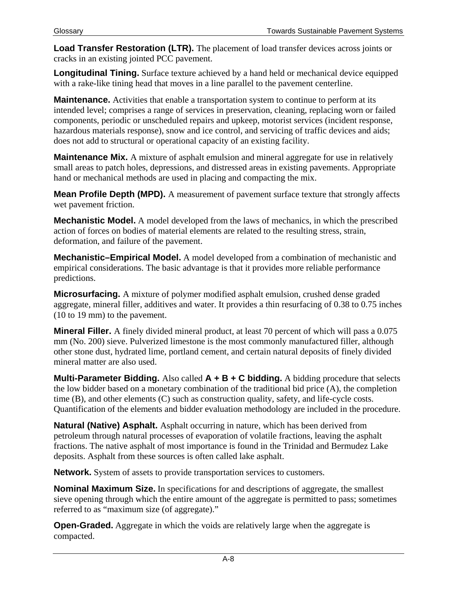**Load Transfer Restoration (LTR).** The placement of load transfer devices across joints or cracks in an existing jointed PCC pavement.

**Longitudinal Tining.** Surface texture achieved by a hand held or mechanical device equipped with a rake-like tining head that moves in a line parallel to the pavement centerline.

**Maintenance.** Activities that enable a transportation system to continue to perform at its intended level; comprises a range of services in preservation, cleaning, replacing worn or failed components, periodic or unscheduled repairs and upkeep, motorist services (incident response, hazardous materials response), snow and ice control, and servicing of traffic devices and aids; does not add to structural or operational capacity of an existing facility.

**Maintenance Mix.** A mixture of asphalt emulsion and mineral aggregate for use in relatively small areas to patch holes, depressions, and distressed areas in existing pavements. Appropriate hand or mechanical methods are used in placing and compacting the mix.

**Mean Profile Depth (MPD).** A measurement of pavement surface texture that strongly affects wet pavement friction.

**Mechanistic Model.** A model developed from the laws of mechanics, in which the prescribed action of forces on bodies of material elements are related to the resulting stress, strain, deformation, and failure of the pavement.

**Mechanistic–Empirical Model.** A model developed from a combination of mechanistic and empirical considerations. The basic advantage is that it provides more reliable performance predictions.

**Microsurfacing.** A mixture of polymer modified asphalt emulsion, crushed dense graded aggregate, mineral filler, additives and water. It provides a thin resurfacing of 0.38 to 0.75 inches (10 to 19 mm) to the pavement.

**Mineral Filler.** A finely divided mineral product, at least 70 percent of which will pass a 0.075 mm (No. 200) sieve. Pulverized limestone is the most commonly manufactured filler, although other stone dust, hydrated lime, portland cement, and certain natural deposits of finely divided mineral matter are also used.

**Multi-Parameter Bidding.** Also called **A + B + C bidding.** A bidding procedure that selects the low bidder based on a monetary combination of the traditional bid price (A), the completion time (B), and other elements (C) such as construction quality, safety, and life-cycle costs. Quantification of the elements and bidder evaluation methodology are included in the procedure.

**Natural (Native) Asphalt.** Asphalt occurring in nature, which has been derived from petroleum through natural processes of evaporation of volatile fractions, leaving the asphalt fractions. The native asphalt of most importance is found in the Trinidad and Bermudez Lake deposits. Asphalt from these sources is often called lake asphalt.

**Network.** System of assets to provide transportation services to customers.

**Nominal Maximum Size.** In specifications for and descriptions of aggregate, the smallest sieve opening through which the entire amount of the aggregate is permitted to pass; sometimes referred to as "maximum size (of aggregate)."

**Open-Graded.** Aggregate in which the voids are relatively large when the aggregate is compacted.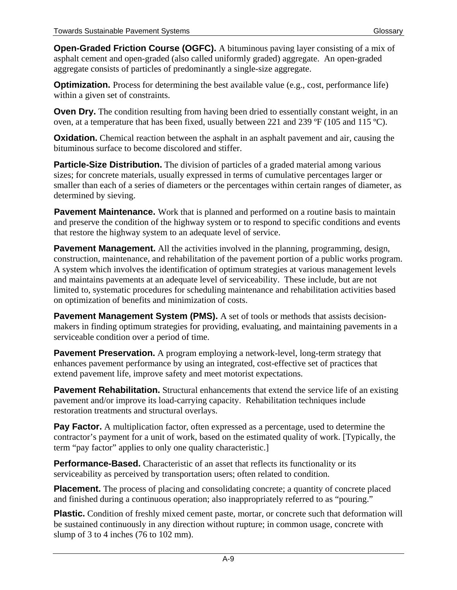**Open-Graded Friction Course (OGFC).** A bituminous paving layer consisting of a mix of asphalt cement and open-graded (also called uniformly graded) aggregate. An open-graded aggregate consists of particles of predominantly a single-size aggregate.

**Optimization.** Process for determining the best available value (e.g., cost, performance life) within a given set of constraints.

**Oven Dry.** The condition resulting from having been dried to essentially constant weight, in an oven, at a temperature that has been fixed, usually between 221 and 239 ºF (105 and 115 ºC).

**Oxidation.** Chemical reaction between the asphalt in an asphalt pavement and air, causing the bituminous surface to become discolored and stiffer.

**Particle-Size Distribution.** The division of particles of a graded material among various sizes; for concrete materials, usually expressed in terms of cumulative percentages larger or smaller than each of a series of diameters or the percentages within certain ranges of diameter, as determined by sieving.

**Pavement Maintenance.** Work that is planned and performed on a routine basis to maintain and preserve the condition of the highway system or to respond to specific conditions and events that restore the highway system to an adequate level of service.

**Pavement Management.** All the activities involved in the planning, programming, design, construction, maintenance, and rehabilitation of the pavement portion of a public works program. A system which involves the identification of optimum strategies at various management levels and maintains pavements at an adequate level of serviceability. These include, but are not limited to, systematic procedures for scheduling maintenance and rehabilitation activities based on optimization of benefits and minimization of costs.

**Pavement Management System (PMS).** A set of tools or methods that assists decisionmakers in finding optimum strategies for providing, evaluating, and maintaining pavements in a serviceable condition over a period of time.

**Pavement Preservation.** A program employing a network-level, long-term strategy that enhances pavement performance by using an integrated, cost-effective set of practices that extend pavement life, improve safety and meet motorist expectations.

**Pavement Rehabilitation.** Structural enhancements that extend the service life of an existing pavement and/or improve its load-carrying capacity. Rehabilitation techniques include restoration treatments and structural overlays.

**Pay Factor.** A multiplication factor, often expressed as a percentage, used to determine the contractor's payment for a unit of work, based on the estimated quality of work. [Typically, the term "pay factor" applies to only one quality characteristic.]

**Performance-Based.** Characteristic of an asset that reflects its functionality or its serviceability as perceived by transportation users; often related to condition.

**Placement.** The process of placing and consolidating concrete; a quantity of concrete placed and finished during a continuous operation; also inappropriately referred to as "pouring."

**Plastic.** Condition of freshly mixed cement paste, mortar, or concrete such that deformation will be sustained continuously in any direction without rupture; in common usage, concrete with slump of 3 to 4 inches (76 to 102 mm).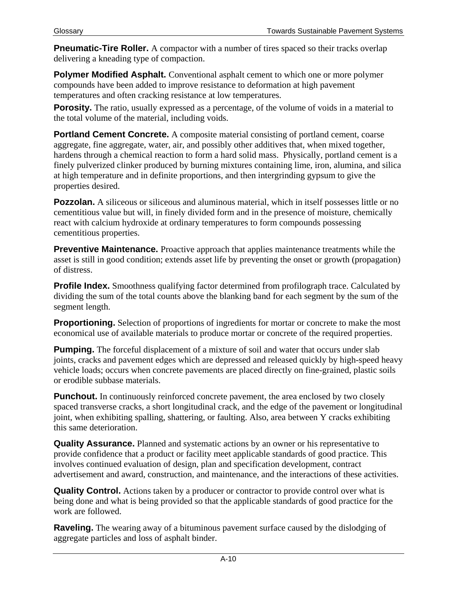**Pneumatic-Tire Roller.** A compactor with a number of tires spaced so their tracks overlap delivering a kneading type of compaction.

**Polymer Modified Asphalt.** Conventional asphalt cement to which one or more polymer compounds have been added to improve resistance to deformation at high pavement temperatures and often cracking resistance at low temperatures.

**Porosity.** The ratio, usually expressed as a percentage, of the volume of voids in a material to the total volume of the material, including voids.

**Portland Cement Concrete.** A composite material consisting of portland cement, coarse aggregate, fine aggregate, water, air, and possibly other additives that, when mixed together, hardens through a chemical reaction to form a hard solid mass. Physically, portland cement is a finely pulverized clinker produced by burning mixtures containing lime, iron, alumina, and silica at high temperature and in definite proportions, and then intergrinding gypsum to give the properties desired.

**Pozzolan.** A siliceous or siliceous and aluminous material, which in itself possesses little or no cementitious value but will, in finely divided form and in the presence of moisture, chemically react with calcium hydroxide at ordinary temperatures to form compounds possessing cementitious properties.

**Preventive Maintenance.** Proactive approach that applies maintenance treatments while the asset is still in good condition; extends asset life by preventing the onset or growth (propagation) of distress.

**Profile Index.** Smoothness qualifying factor determined from profilograph trace. Calculated by dividing the sum of the total counts above the blanking band for each segment by the sum of the segment length.

**Proportioning.** Selection of proportions of ingredients for mortar or concrete to make the most economical use of available materials to produce mortar or concrete of the required properties.

**Pumping.** The forceful displacement of a mixture of soil and water that occurs under slab joints, cracks and pavement edges which are depressed and released quickly by high-speed heavy vehicle loads; occurs when concrete pavements are placed directly on fine-grained, plastic soils or erodible subbase materials.

**Punchout.** In continuously reinforced concrete pavement, the area enclosed by two closely spaced transverse cracks, a short longitudinal crack, and the edge of the pavement or longitudinal joint, when exhibiting spalling, shattering, or faulting. Also, area between Y cracks exhibiting this same deterioration.

**Quality Assurance.** Planned and systematic actions by an owner or his representative to provide confidence that a product or facility meet applicable standards of good practice. This involves continued evaluation of design, plan and specification development, contract advertisement and award, construction, and maintenance, and the interactions of these activities.

**Quality Control.** Actions taken by a producer or contractor to provide control over what is being done and what is being provided so that the applicable standards of good practice for the work are followed.

**Raveling.** The wearing away of a bituminous pavement surface caused by the dislodging of aggregate particles and loss of asphalt binder.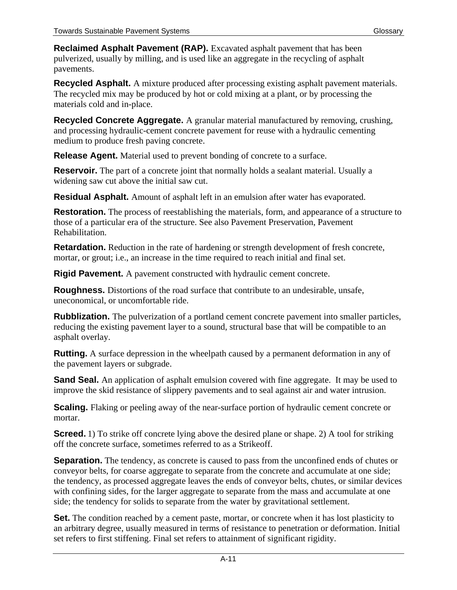**Reclaimed Asphalt Pavement (RAP).** Excavated asphalt pavement that has been pulverized, usually by milling, and is used like an aggregate in the recycling of asphalt pavements.

**Recycled Asphalt.** A mixture produced after processing existing asphalt pavement materials. The recycled mix may be produced by hot or cold mixing at a plant, or by processing the materials cold and in-place.

**Recycled Concrete Aggregate.** A granular material manufactured by removing, crushing, and processing hydraulic-cement concrete pavement for reuse with a hydraulic cementing medium to produce fresh paving concrete.

**Release Agent.** Material used to prevent bonding of concrete to a surface.

**Reservoir.** The part of a concrete joint that normally holds a sealant material. Usually a widening saw cut above the initial saw cut.

**Residual Asphalt.** Amount of asphalt left in an emulsion after water has evaporated.

**Restoration.** The process of reestablishing the materials, form, and appearance of a structure to those of a particular era of the structure. See also Pavement Preservation, Pavement Rehabilitation.

**Retardation.** Reduction in the rate of hardening or strength development of fresh concrete, mortar, or grout; i.e., an increase in the time required to reach initial and final set.

**Rigid Pavement.** A pavement constructed with hydraulic cement concrete.

**Roughness.** Distortions of the road surface that contribute to an undesirable, unsafe, uneconomical, or uncomfortable ride.

**Rubblization.** The pulverization of a portland cement concrete pavement into smaller particles, reducing the existing pavement layer to a sound, structural base that will be compatible to an asphalt overlay.

**Rutting.** A surface depression in the wheelpath caused by a permanent deformation in any of the pavement layers or subgrade.

**Sand Seal.** An application of asphalt emulsion covered with fine aggregate. It may be used to improve the skid resistance of slippery pavements and to seal against air and water intrusion.

**Scaling.** Flaking or peeling away of the near-surface portion of hydraulic cement concrete or mortar.

**Screed.** 1) To strike off concrete lying above the desired plane or shape. 2) A tool for striking off the concrete surface, sometimes referred to as a Strikeoff.

**Separation.** The tendency, as concrete is caused to pass from the unconfined ends of chutes or conveyor belts, for coarse aggregate to separate from the concrete and accumulate at one side; the tendency, as processed aggregate leaves the ends of conveyor belts, chutes, or similar devices with confining sides, for the larger aggregate to separate from the mass and accumulate at one side; the tendency for solids to separate from the water by gravitational settlement.

**Set.** The condition reached by a cement paste, mortar, or concrete when it has lost plasticity to an arbitrary degree, usually measured in terms of resistance to penetration or deformation. Initial set refers to first stiffening. Final set refers to attainment of significant rigidity.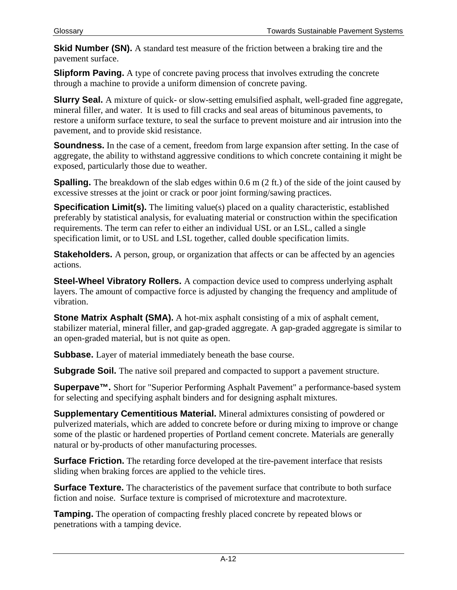**Skid Number (SN).** A standard test measure of the friction between a braking tire and the pavement surface.

**Slipform Paving.** A type of concrete paving process that involves extruding the concrete through a machine to provide a uniform dimension of concrete paving.

**Slurry Seal.** A mixture of quick- or slow-setting emulsified asphalt, well-graded fine aggregate, mineral filler, and water. It is used to fill cracks and seal areas of bituminous pavements, to restore a uniform surface texture, to seal the surface to prevent moisture and air intrusion into the pavement, and to provide skid resistance.

**Soundness.** In the case of a cement, freedom from large expansion after setting. In the case of aggregate, the ability to withstand aggressive conditions to which concrete containing it might be exposed, particularly those due to weather.

**Spalling.** The breakdown of the slab edges within 0.6 m (2 ft.) of the side of the joint caused by excessive stresses at the joint or crack or poor joint forming/sawing practices.

**Specification Limit(s).** The limiting value(s) placed on a quality characteristic, established preferably by statistical analysis, for evaluating material or construction within the specification requirements. The term can refer to either an individual USL or an LSL, called a single specification limit, or to USL and LSL together, called double specification limits.

**Stakeholders.** A person, group, or organization that affects or can be affected by an agencies actions.

**Steel-Wheel Vibratory Rollers.** A compaction device used to compress underlying asphalt layers. The amount of compactive force is adjusted by changing the frequency and amplitude of vibration.

**Stone Matrix Asphalt (SMA).** A hot-mix asphalt consisting of a mix of asphalt cement, stabilizer material, mineral filler, and gap-graded aggregate. A gap-graded aggregate is similar to an open-graded material, but is not quite as open.

**Subbase.** Layer of material immediately beneath the base course.

**Subgrade Soil.** The native soil prepared and compacted to support a pavement structure.

**Superpave™.** Short for "Superior Performing Asphalt Pavement" a performance-based system for selecting and specifying asphalt binders and for designing asphalt mixtures.

**Supplementary Cementitious Material.** Mineral admixtures consisting of powdered or pulverized materials, which are added to concrete before or during mixing to improve or change some of the plastic or hardened properties of Portland cement concrete. Materials are generally natural or by-products of other manufacturing processes.

**Surface Friction.** The retarding force developed at the tire-pavement interface that resists sliding when braking forces are applied to the vehicle tires.

**Surface Texture.** The characteristics of the pavement surface that contribute to both surface fiction and noise. Surface texture is comprised of microtexture and macrotexture.

**Tamping.** The operation of compacting freshly placed concrete by repeated blows or penetrations with a tamping device.